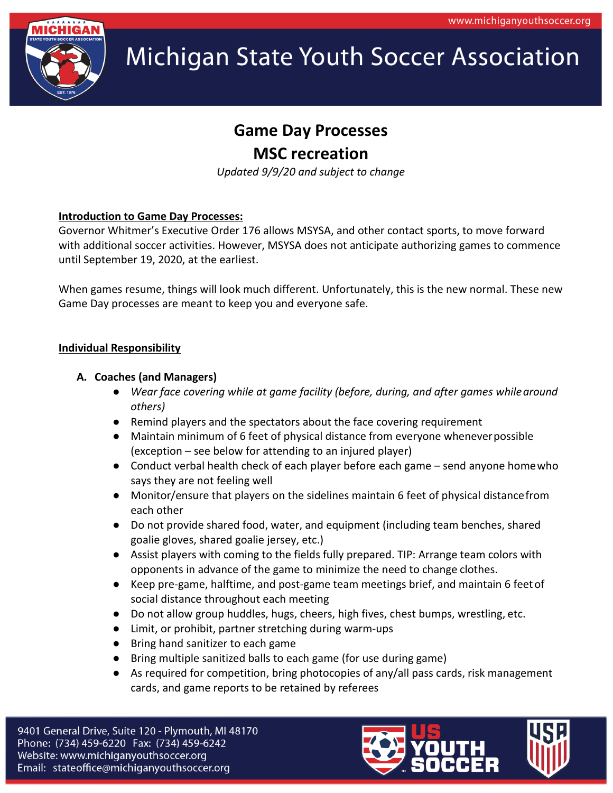

### **Game Day Processes MSC recreation**

*Updated 9/9/20 and subject to change*

#### **Introduction to Game Day Processes:**

Governor Whitmer's Executive Order 176 allows MSYSA, and other contact sports, to move forward with additional soccer activities. However, MSYSA does not anticipate authorizing games to commence until September 19, 2020, at the earliest.

When games resume, things will look much different. Unfortunately, this is the new normal. These new Game Day processes are meant to keep you and everyone safe.

#### **Individual Responsibility**

#### **A. Coaches (and Managers)**

- *Wear face covering while at game facility (before, during, and after games whilearound others)*
- Remind players and the spectators about the face covering requirement
- Maintain minimum of 6 feet of physical distance from everyone wheneverpossible (exception – see below for attending to an injured player)
- Conduct verbal health check of each player before each game send anyone home who says they are not feeling well
- Monitor/ensure that players on the sidelines maintain 6 feet of physical distancefrom each other
- Do not provide shared food, water, and equipment (including team benches, shared goalie gloves, shared goalie jersey, etc.)
- Assist players with coming to the fields fully prepared. TIP: Arrange team colors with opponents in advance of the game to minimize the need to change clothes.
- Keep pre-game, halftime, and post-game team meetings brief, and maintain 6 feetof social distance throughout each meeting
- Do not allow group huddles, hugs, cheers, high fives, chest bumps, wrestling, etc.
- Limit, or prohibit, partner stretching during warm-ups
- Bring hand sanitizer to each game
- Bring multiple sanitized balls to each game (for use during game)
- As required for competition, bring photocopies of any/all pass cards, risk management cards, and game reports to be retained by referees

9401 General Drive, Suite 120 - Plymouth, MI 48170 Phone: (734) 459-6220 Fax: (734) 459-6242 Website: www.michiganyouthsoccer.org Email: stateoffice@michiganyouthsoccer.org

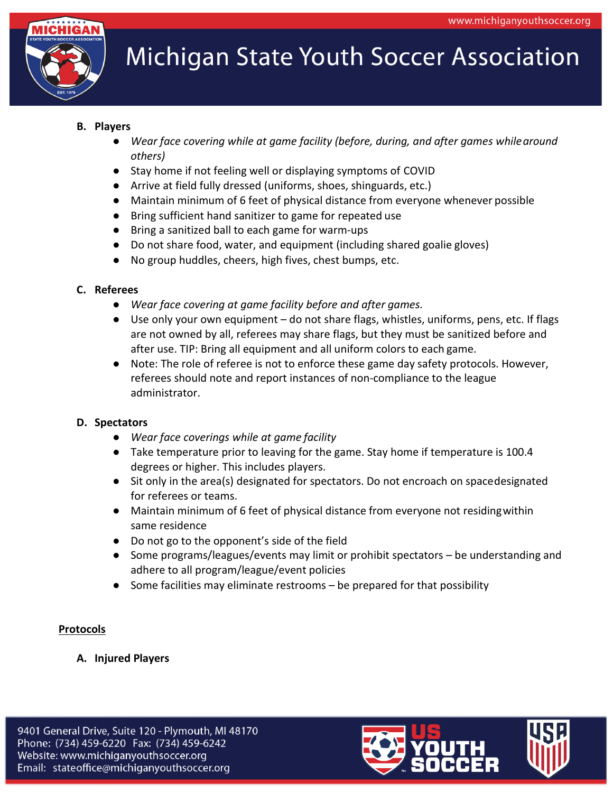

#### **B. Players**

- *Wear face covering while at game facility (before, during, and after games whilearound others)*
- Stay home if not feeling well or displaying symptoms of COVID
- Arrive at field fully dressed (uniforms, shoes, shinguards, etc.)
- Maintain minimum of 6 feet of physical distance from everyone whenever possible
- Bring sufficient hand sanitizer to game for repeated use
- Bring a sanitized ball to each game for warm-ups
- Do not share food, water, and equipment (including shared goalie gloves)
- No group huddles, cheers, high fives, chest bumps, etc.

#### **C. Referees**

- *Wear face covering at game facility before and after games.*
- Use only your own equipment do not share flags, whistles, uniforms, pens, etc. If flags are not owned by all, referees may share flags, but they must be sanitized before and after use. TIP: Bring all equipment and all uniform colors to each game.
- Note: The role of referee is not to enforce these game day safety protocols. However, referees should note and report instances of non-compliance to the league administrator.

#### **D. Spectators**

- *Wear face coverings while at game facility*
- Take temperature prior to leaving for the game. Stay home if temperature is 100.4 degrees or higher. This includes players.
- Sit only in the area(s) designated for spectators. Do not encroach on spacedesignated for referees or teams.
- Maintain minimum of 6 feet of physical distance from everyone not residingwithin same residence
- Do not go to the opponent's side of the field
- Some programs/leagues/events may limit or prohibit spectators be understanding and adhere to all program/league/event policies
- Some facilities may eliminate restrooms be prepared for that possibility

#### **Protocols**

**A. Injured Players**

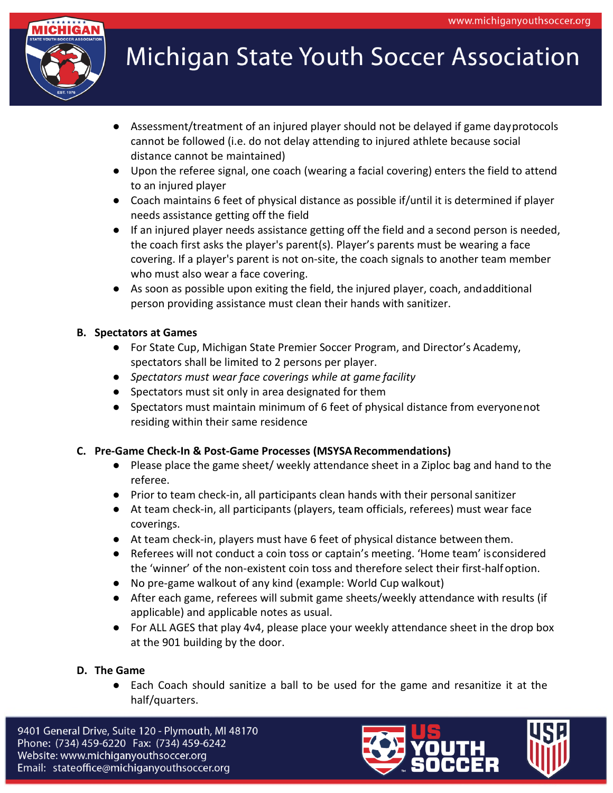

- Assessment/treatment of an injured player should not be delayed if game dayprotocols cannot be followed (i.e. do not delay attending to injured athlete because social distance cannot be maintained)
- Upon the referee signal, one coach (wearing a facial covering) enters the field to attend to an injured player
- Coach maintains 6 feet of physical distance as possible if/until it is determined if player needs assistance getting off the field
- If an injured player needs assistance getting off the field and a second person is needed, the coach first asks the player's parent(s). Player's parents must be wearing a face covering. If a player's parent is not on-site, the coach signals to another team member who must also wear a face covering.
- As soon as possible upon exiting the field, the injured player, coach, andadditional person providing assistance must clean their hands with sanitizer.

#### **B. Spectators at Games**

- For State Cup, Michigan State Premier Soccer Program, and Director's Academy, spectators shall be limited to 2 persons per player.
- *Spectators must wear face coverings while at game facility*
- Spectators must sit only in area designated for them
- Spectators must maintain minimum of 6 feet of physical distance from everyonenot residing within their same residence

#### **C. Pre-Game Check-In & Post-Game Processes (MSYSARecommendations)**

- Please place the game sheet/ weekly attendance sheet in a Ziploc bag and hand to the referee.
- Prior to team check-in, all participants clean hands with their personalsanitizer
- At team check-in, all participants (players, team officials, referees) must wear face coverings.
- At team check-in, players must have 6 feet of physical distance between them.
- Referees will not conduct a coin toss or captain's meeting. 'Home team' isconsidered the 'winner' of the non-existent coin toss and therefore select their first-halfoption.
- No pre-game walkout of any kind (example: World Cup walkout)
- After each game, referees will submit game sheets/weekly attendance with results (if applicable) and applicable notes as usual.
- For ALL AGES that play 4v4, please place your weekly attendance sheet in the drop box at the 901 building by the door.

### **D. The Game**

● Each Coach should sanitize a ball to be used for the game and resanitize it at the half/quarters.

9401 General Drive, Suite 120 - Plymouth, MI 48170 Phone: (734) 459-6220 Fax: (734) 459-6242 Website: www.michiganyouthsoccer.org Email: stateoffice@michiganyouthsoccer.org

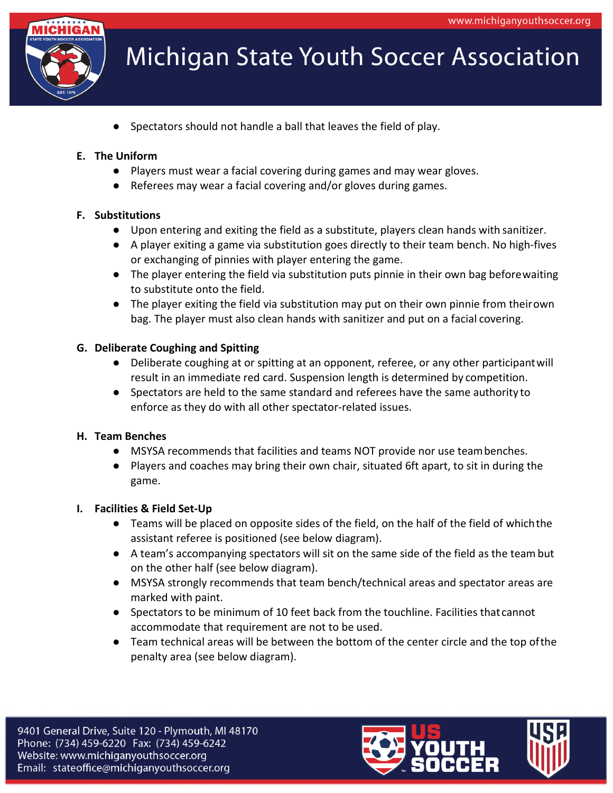

● Spectators should not handle a ball that leaves the field of play.

#### **E. The Uniform**

- Players must wear a facial covering during games and may wear gloves.
- Referees may wear a facial covering and/or gloves during games.

#### **F. Substitutions**

- Upon entering and exiting the field as a substitute, players clean hands with sanitizer.
- A player exiting a game via substitution goes directly to their team bench. No high-fives or exchanging of pinnies with player entering the game.
- The player entering the field via substitution puts pinnie in their own bag beforewaiting to substitute onto the field.
- The player exiting the field via substitution may put on their own pinnie from theirown bag. The player must also clean hands with sanitizer and put on a facial covering.

#### **G. Deliberate Coughing and Spitting**

- Deliberate coughing at or spitting at an opponent, referee, or any other participantwill result in an immediate red card. Suspension length is determined by competition.
- Spectators are held to the same standard and referees have the same authority to enforce as they do with all other spectator-related issues.

#### **H. Team Benches**

- MSYSA recommends that facilities and teams NOT provide nor use teambenches.
- Players and coaches may bring their own chair, situated 6ft apart, to sit in during the game.

#### **I. Facilities & Field Set-Up**

- Teams will be placed on opposite sides of the field, on the half of the field of whichthe assistant referee is positioned (see below diagram).
- A team's accompanying spectators will sit on the same side of the field as the teambut on the other half (see below diagram).
- MSYSA strongly recommends that team bench/technical areas and spectator areas are marked with paint.
- Spectators to be minimum of 10 feet back from the touchline. Facilities thatcannot accommodate that requirement are not to be used.
- Team technical areas will be between the bottom of the center circle and the top of the penalty area (see below diagram).